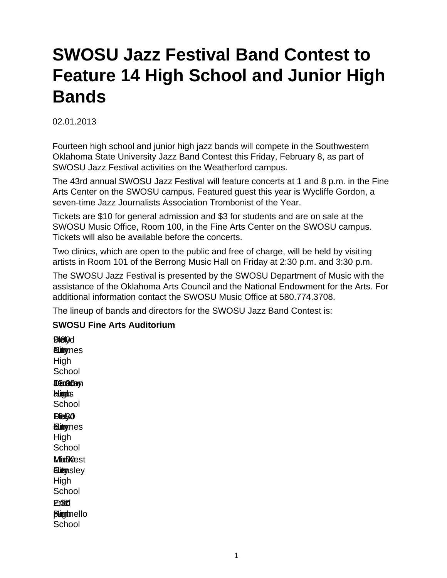## **SWOSU Jazz Festival Band Contest to Feature 14 High School and Junior High Bands**

## 02.01.2013

Fourteen high school and junior high jazz bands will compete in the Southwestern Oklahoma State University Jazz Band Contest this Friday, February 8, as part of SWOSU Jazz Festival activities on the Weatherford campus.

The 43rd annual SWOSU Jazz Festival will feature concerts at 1 and 8 p.m. in the Fine Arts Center on the SWOSU campus. Featured guest this year is Wycliffe Gordon, a seven-time Jazz Journalists Association Trombonist of the Year.

Tickets are \$10 for general admission and \$3 for students and are on sale at the SWOSU Music Office, Room 100, in the Fine Arts Center on the SWOSU campus. Tickets will also be available before the concerts.

Two clinics, which are open to the public and free of charge, will be held by visiting artists in Room 101 of the Berrong Music Hall on Friday at 2:30 p.m. and 3:30 p.m.

The SWOSU Jazz Festival is presented by the SWOSU Department of Music with the assistance of the Oklahoma Arts Council and the National Endowment for the Arts. For additional information contact the SWOSU Music Office at 580.774.3708.

The lineup of bands and directors for the SWOSU Jazz Band Contest is:

## **SWOSU Fine Arts Auditorium**

**EDielyd a.imynes** High **School** Jenacay a.m. High Haas **School EDel** 30 **Elingynes** High **School Madoest ELiem**sley High **School** 2:30 Enid Eric **Pigmello School**